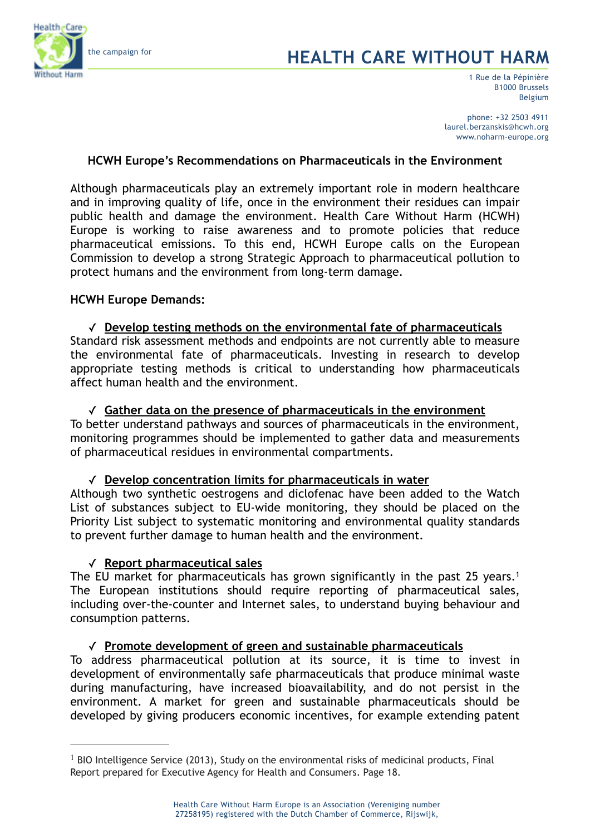

# the campaign for **HEALTH CARE WITHOUT HARM**

1 Rue de la Pépinière B1000 Brussels Belgium

phone: +32 2503 4911 laurel.berzanskis@hcwh.org www.noharm-europe.org

## **HCWH Europe's Recommendations on Pharmaceuticals in the Environment**

Although pharmaceuticals play an extremely important role in modern healthcare and in improving quality of life, once in the environment their residues can impair public health and damage the environment. Health Care Without Harm (HCWH) Europe is working to raise awareness and to promote policies that reduce pharmaceutical emissions. To this end, HCWH Europe calls on the European Commission to develop a strong Strategic Approach to pharmaceutical pollution to protect humans and the environment from long-term damage.

## **HCWH Europe Demands:**

✓ **Develop testing methods on the environmental fate of pharmaceuticals**  Standard risk assessment methods and endpoints are not currently able to measure the environmental fate of pharmaceuticals. Investing in research to develop appropriate testing methods is critical to understanding how pharmaceuticals affect human health and the environment.

✓ **Gather data on the presence of pharmaceuticals in the environment**  To better understand pathways and sources of pharmaceuticals in the environment, monitoring programmes should be implemented to gather data and measurements of pharmaceutical residues in environmental compartments.

✓ **Develop concentration limits for pharmaceuticals in water** 

Although two synthetic oestrogens and diclofenac have been added to the Watch List of substances subject to EU-wide monitoring, they should be placed on the Priority List subject to systematic monitoring and environmental quality standards to prevent further damage to human health and the environment.

## ✓ **Report pharmaceutical sales**

The EU market for pharmaceuticals has grown significantly in the past 25 years.<sup>1</sup> The European institutions should require reporting of pharmaceutical sales, including over-the-counter and Internet sales, to understand buying behaviour and consumption patterns.

## ✓ **Promote development of green and sustainable pharmaceuticals**

To address pharmaceutical pollution at its source, it is time to invest in development of environmentally safe pharmaceuticals that produce minimal waste during manufacturing, have increased bioavailability, and do not persist in the environment. A market for green and sustainable pharmaceuticals should be developed by giving producers economic incentives, for example extending patent

 $<sup>1</sup>$  BIO Intelligence Service (2013), Study on the environmental risks of medicinal products, Final</sup> Report prepared for Executive Agency for Health and Consumers. Page 18.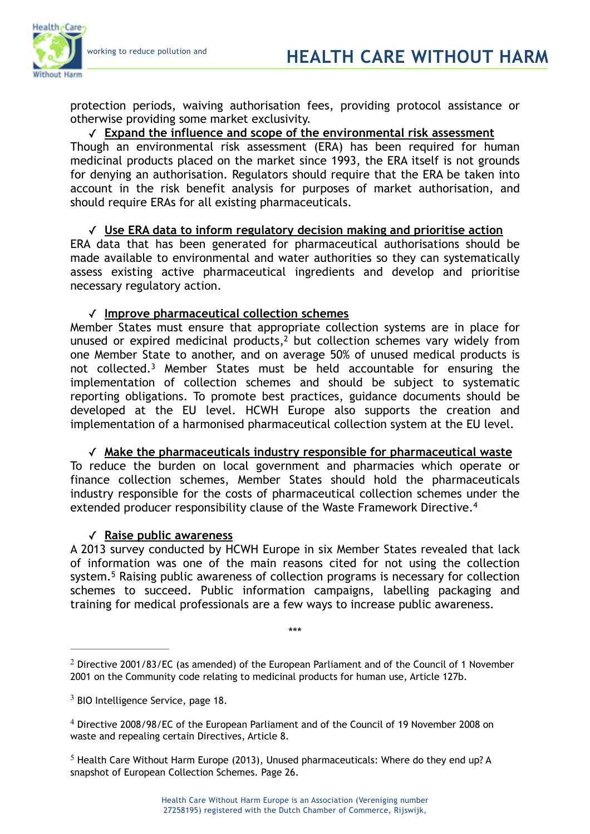necessary regulatory action.



protection periods, waiving authorisation fees, providing protocol assistance or otherwise providing some market exclusivity.

### ✓ **Expand the influence and scope of the environmental risk assessment**

Though an environmental risk assessment (ERA) has been required for human medicinal products placed on the market since 1993, the ERA itself is not grounds for denying an authorisation. Regulators should require that the ERA be taken into account in the risk benefit analysis for purposes of market authorisation, and should require ERAs for all existing pharmaceuticals.

### ✓ **Use ERA data to inform regulatory decision making and prioritise action**  ERA data that has been generated for pharmaceutical authorisations should be made available to environmental and water authorities so they can systematically assess existing active pharmaceutical ingredients and develop and prioritise

## ✓ **Improve pharmaceutical collection schemes**

Member States must ensure that appropriate collection systems are in place for unused or expired medicinal products, $<sup>2</sup>$  but collection schemes vary widely from</sup> one Member State to another, and on average 50% of unused medical products is not collected.<sup>3</sup> Member States must be held accountable for ensuring the implementation of collection schemes and should be subject to systematic reporting obligations. To promote best practices, guidance documents should be developed at the EU level. HCWH Europe also supports the creation and implementation of a harmonised pharmaceutical collection system at the EU level.

## ✓ **Make the pharmaceuticals industry responsible for pharmaceutical waste**  To reduce the burden on local government and pharmacies which operate or finance collection schemes, Member States should hold the pharmaceuticals industry responsible for the costs of pharmaceutical collection schemes under the

extended producer responsibility clause of the Waste Framework Directive.<sup>4</sup>

#### ✓ **Raise public awareness**

A 2013 survey conducted by HCWH Europe in six Member States revealed that lack of information was one of the main reasons cited for not using the collection system.<sup>5</sup> Raising public awareness of collection programs is necessary for collection schemes to succeed. Public information campaigns, labelling packaging and training for medical professionals are a few ways to increase public awareness.

\*\*\*

 $2$  Directive 2001/83/EC (as amended) of the European Parliament and of the Council of 1 November 2001 on the Community code relating to medicinal products for human use, Article 127b.

 $3$  BIO Intelligence Service, page 18.

Directive 2008/98/EC of the European Parliament and of the Council of 19 November 2008 on <sup>4</sup> waste and repealing certain Directives, Article 8.

 $5$  Health Care Without Harm Europe (2013), Unused pharmaceuticals: Where do they end up? A snapshot of European Collection Schemes. Page 26.